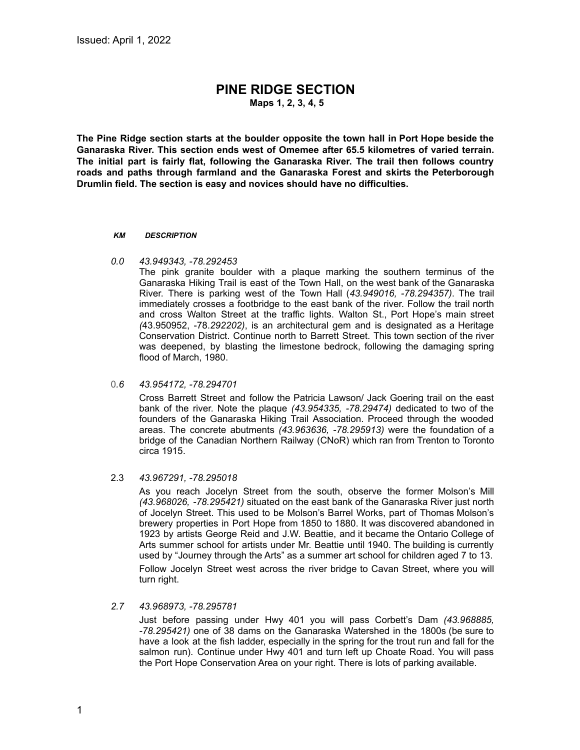# **PINE RIDGE SECTION**

**Maps 1, 2, 3, 4, 5**

**The Pine Ridge section starts at the boulder opposite the town hall in Port Hope beside the Ganaraska River. This section ends west of Omemee after 65.5 kilometres of varied terrain. The initial part is fairly flat, following the Ganaraska River. The trail then follows country roads and paths through farmland and the Ganaraska Forest and skirts the Peterborough Drumlin field. The section is easy and novices should have no difficulties.**

#### *KM DESCRIPTION*

*0.0 43.949343, -78.292453*

The pink granite boulder with a plaque marking the southern terminus of the Ganaraska Hiking Trail is east of the Town Hall, on the west bank of the Ganaraska River. There is parking west of the Town Hall (*43.949016, -78.294357)*. The trail immediately crosses a footbridge to the east bank of the river. Follow the trail north and cross Walton Street at the traffic lights. Walton St., Port Hope's main street *(*43.950952, -78.*292202)*, is an architectural gem and is designated as a Heritage Conservation District. Continue north to Barrett Street. This town section of the river was deepened, by blasting the limestone bedrock, following the damaging spring flood of March, 1980.

0*.6 43.954172, -78.294701*

Cross Barrett Street and follow the Patricia Lawson/ Jack Goering trail on the east bank of the river. Note the plaque *(43.954335, -78.29474)* dedicated to two of the founders of the Ganaraska Hiking Trail Association. Proceed through the wooded areas. The concrete abutments *(43.963636, -78.295913)* were the foundation of a bridge of the Canadian Northern Railway (CNoR) which ran from Trenton to Toronto circa 1915.

# 2.3 *43.967291, -78.295018*

As you reach Jocelyn Street from the south, observe the former Molson's Mill *(43.968026, -78.295421)* situated on the east bank of the Ganaraska River just north of Jocelyn Street. This used to be Molson's Barrel Works, part of Thomas Molson's brewery properties in Port Hope from 1850 to 1880. It was discovered abandoned in 1923 by artists George Reid and J.W. Beattie, and it became the Ontario College of Arts summer school for artists under Mr. Beattie until 1940. The building is currently used by "Journey through the Arts" as a summer art school for children aged 7 to 13. Follow Jocelyn Street west across the river bridge to Cavan Street, where you will turn right.

*2.7 43.968973, -78.295781*

Just before passing under Hwy 401 you will pass Corbett's Dam *(43.968885, -78.295421)* one of 38 dams on the Ganaraska Watershed in the 1800s (be sure to have a look at the fish ladder, especially in the spring for the trout run and fall for the salmon run). Continue under Hwy 401 and turn left up Choate Road. You will pass the Port Hope Conservation Area on your right. There is lots of parking available.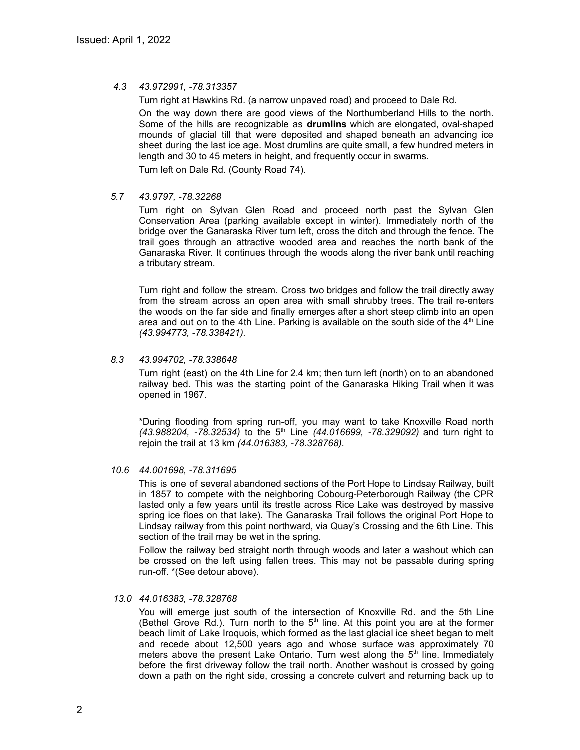# *4.3 43.972991, -78.313357*

Turn right at Hawkins Rd. (a narrow unpaved road) and proceed to Dale Rd.

On the way down there are good views of the Northumberland Hills to the north. Some of the hills are recognizable as **drumlins** which are elongated, oval-shaped mounds of glacial till that were deposited and shaped beneath an advancing ice sheet during the last ice age. Most drumlins are quite small, a few hundred meters in length and 30 to 45 meters in height, and frequently occur in swarms.

Turn left on Dale Rd. (County Road 74).

# *5.7 43.9797, -78.32268*

Turn right on Sylvan Glen Road and proceed north past the Sylvan Glen Conservation Area (parking available except in winter). Immediately north of the bridge over the Ganaraska River turn left, cross the ditch and through the fence. The trail goes through an attractive wooded area and reaches the north bank of the Ganaraska River. It continues through the woods along the river bank until reaching a tributary stream.

Turn right and follow the stream. Cross two bridges and follow the trail directly away from the stream across an open area with small shrubby trees. The trail re-enters the woods on the far side and finally emerges after a short steep climb into an open area and out on to the 4th Line. Parking is available on the south side of the  $4<sup>th</sup>$  Line *(43.994773, -78.338421).*

# *8.3 43.994702, -78.338648*

Turn right (east) on the 4th Line for 2.4 km; then turn left (north) on to an abandoned railway bed. This was the starting point of the Ganaraska Hiking Trail when it was opened in 1967.

\*During flooding from spring run-off, you may want to take Knoxville Road north *(43.988204, -78.32534)* to the 5 th Line *(44.016699, -78.329092)* and turn right to rejoin the trail at 13 km *(44.016383, -78.328768)*.

# *10.6 44.001698, -78.311695*

This is one of several abandoned sections of the Port Hope to Lindsay Railway, built in 1857 to compete with the neighboring Cobourg-Peterborough Railway (the CPR lasted only a few years until its trestle across Rice Lake was destroyed by massive spring ice floes on that lake). The Ganaraska Trail follows the original Port Hope to Lindsay railway from this point northward, via Quay's Crossing and the 6th Line. This section of the trail may be wet in the spring.

Follow the railway bed straight north through woods and later a washout which can be crossed on the left using fallen trees. This may not be passable during spring run-off. \*(See detour above).

# *13.0 44.016383, -78.328768*

You will emerge just south of the intersection of Knoxville Rd. and the 5th Line (Bethel Grove Rd.). Turn north to the  $5<sup>th</sup>$  line. At this point you are at the former beach limit of Lake Iroquois, which formed as the last glacial ice sheet began to melt and recede about 12,500 years ago and whose surface was approximately 70 meters above the present Lake Ontario. Turn west along the  $5<sup>th</sup>$  line. Immediately before the first driveway follow the trail north. Another washout is crossed by going down a path on the right side, crossing a concrete culvert and returning back up to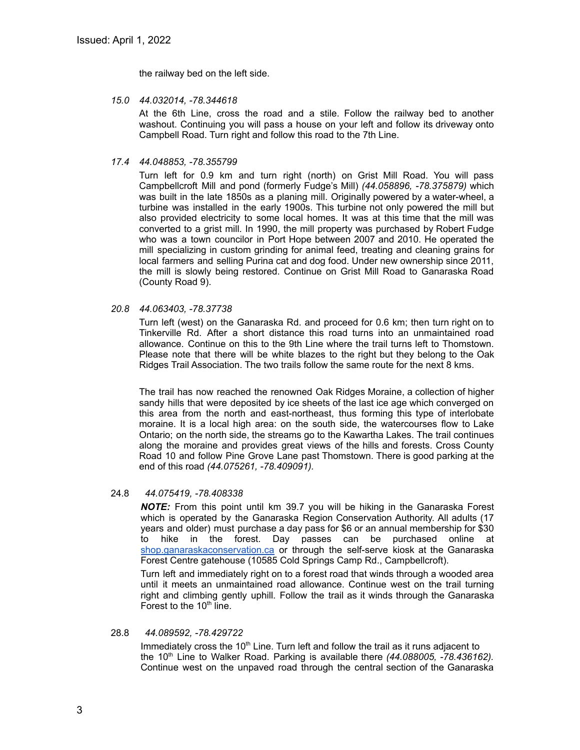the railway bed on the left side.

*15.0 44.032014, -78.344618*

At the 6th Line, cross the road and a stile. Follow the railway bed to another washout. Continuing you will pass a house on your left and follow its driveway onto Campbell Road. Turn right and follow this road to the 7th Line.

*17.4 44.048853, -78.355799*

Turn left for 0.9 km and turn right (north) on Grist Mill Road. You will pass Campbellcroft Mill and pond (formerly Fudge's Mill) *(44.058896, -78.375879)* which was built in the late 1850s as a planing mill. Originally powered by a water-wheel, a turbine was installed in the early 1900s. This turbine not only powered the mill but also provided electricity to some local homes. It was at this time that the mill was converted to a grist mill. In 1990, the mill property was purchased by Robert Fudge who was a town councilor in Port Hope between 2007 and 2010. He operated the mill specializing in custom grinding for animal feed, treating and cleaning grains for local farmers and selling Purina cat and dog food. Under new ownership since 2011, the mill is slowly being restored. Continue on Grist Mill Road to Ganaraska Road (County Road 9).

# *20.8 44.063403, -78.37738*

Turn left (west) on the Ganaraska Rd. and proceed for 0.6 km; then turn right on to Tinkerville Rd. After a short distance this road turns into an unmaintained road allowance. Continue on this to the 9th Line where the trail turns left to Thomstown. Please note that there will be white blazes to the right but they belong to the Oak Ridges Trail Association. The two trails follow the same route for the next 8 kms.

The trail has now reached the renowned Oak Ridges Moraine, a collection of higher sandy hills that were deposited by ice sheets of the last ice age which converged on this area from the north and east-northeast, thus forming this type of interlobate moraine. It is a local high area: on the south side, the watercourses flow to Lake Ontario; on the north side, the streams go to the Kawartha Lakes. The trail continues along the moraine and provides great views of the hills and forests. Cross County Road 10 and follow Pine Grove Lane past Thomstown. There is good parking at the end of this road *(44.075261, -78.409091).*

# 24.8 *44.075419, -78.408338*

*NOTE:* From this point until km 39.7 you will be hiking in the Ganaraska Forest which is operated by the Ganaraska Region Conservation Authority. All adults (17 years and older) must purchase a day pass for \$6 or an annual membership for \$30 to hike in the forest. Day passes can be purchased online at [shop.ganaraskaconservation.ca](http://shop.ganaraskaconservation.ca) or through the self-serve kiosk at the Ganaraska Forest Centre gatehouse (10585 Cold Springs Camp Rd., Campbellcroft).

Turn left and immediately right on to a forest road that winds through a wooded area until it meets an unmaintained road allowance. Continue west on the trail turning right and climbing gently uphill. Follow the trail as it winds through the Ganaraska Forest to the 10<sup>th</sup> line.

#### 28.8 *44.089592, -78.429722*

Immediately cross the 10<sup>th</sup> Line. Turn left and follow the trail as it runs adjacent to the 10<sup>th</sup> Line to Walker Road. Parking is available there (44.088005, -78.436162). Continue west on the unpaved road through the central section of the Ganaraska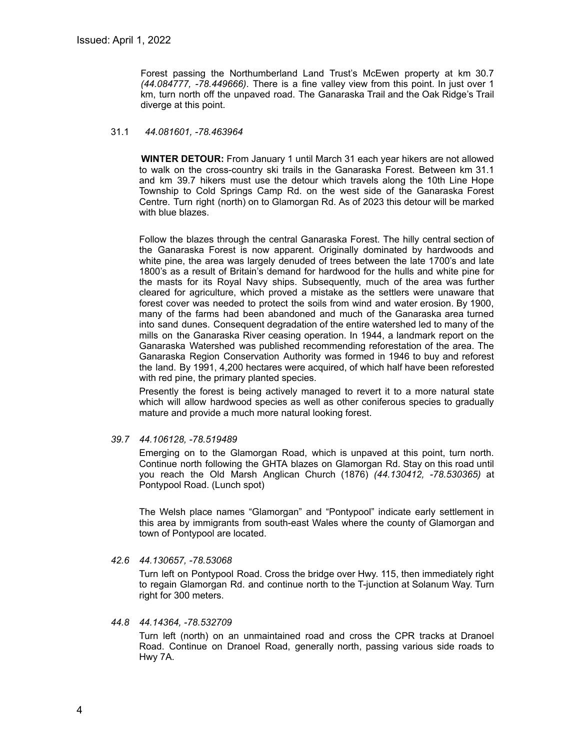Forest passing the Northumberland Land Trust's McEwen property at km 30.7 *(44.084777, -78.449666)*. There is a fine valley view from this point. In just over 1 km, turn north off the unpaved road. The Ganaraska Trail and the Oak Ridge's Trail diverge at this point.

# 31.1 *44.081601, -78.463964*

**WINTER DETOUR:** From January 1 until March 31 each year hikers are not allowed to walk on the cross-country ski trails in the Ganaraska Forest. Between km 31.1 and km 39.7 hikers must use the detour which travels along the 10th Line Hope Township to Cold Springs Camp Rd. on the west side of the Ganaraska Forest Centre. Turn right (north) on to Glamorgan Rd. As of 2023 this detour will be marked with blue blazes.

Follow the blazes through the central Ganaraska Forest. The hilly central section of the Ganaraska Forest is now apparent. Originally dominated by hardwoods and white pine, the area was largely denuded of trees between the late 1700's and late 1800's as a result of Britain's demand for hardwood for the hulls and white pine for the masts for its Royal Navy ships. Subsequently, much of the area was further cleared for agriculture, which proved a mistake as the settlers were unaware that forest cover was needed to protect the soils from wind and water erosion. By 1900, many of the farms had been abandoned and much of the Ganaraska area turned into sand dunes. Consequent degradation of the entire watershed led to many of the mills on the Ganaraska River ceasing operation. In 1944, a landmark report on the Ganaraska Watershed was published recommending reforestation of the area. The Ganaraska Region Conservation Authority was formed in 1946 to buy and reforest the land. By 1991, 4,200 hectares were acquired, of which half have been reforested with red pine, the primary planted species.

Presently the forest is being actively managed to revert it to a more natural state which will allow hardwood species as well as other coniferous species to gradually mature and provide a much more natural looking forest.

*39.7 44.106128, -78.519489*

Emerging on to the Glamorgan Road, which is unpaved at this point, turn north. Continue north following the GHTA blazes on Glamorgan Rd. Stay on this road until you reach the Old Marsh Anglican Church (1876) *(44.130412, -78.530365)* at Pontypool Road. (Lunch spot)

The Welsh place names "Glamorgan" and "Pontypool" indicate early settlement in this area by immigrants from south-east Wales where the county of Glamorgan and town of Pontypool are located.

*42.6 44.130657, -78.53068*

Turn left on Pontypool Road. Cross the bridge over Hwy. 115, then immediately right to regain Glamorgan Rd. and continue north to the T-junction at Solanum Way. Turn right for 300 meters.

# *44.8 44.14364, -78.532709*

Turn left (north) on an unmaintained road and cross the CPR tracks at Dranoel Road. Continue on Dranoel Road, generally north, passing various side roads to Hwy 7A.